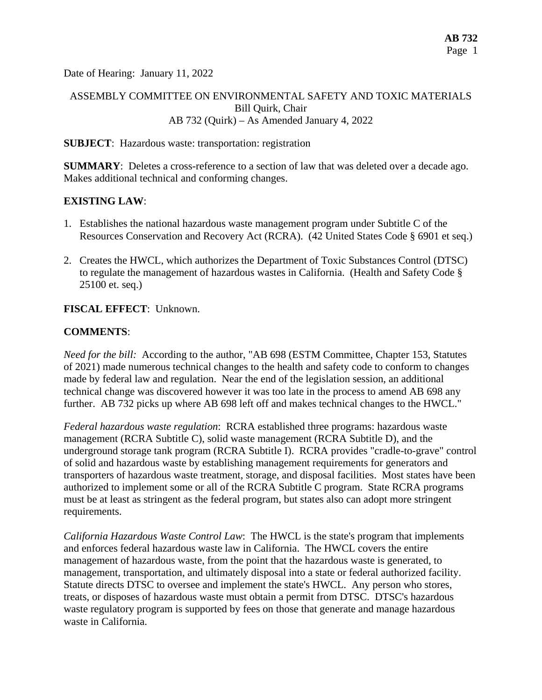Date of Hearing: January 11, 2022

## ASSEMBLY COMMITTEE ON ENVIRONMENTAL SAFETY AND TOXIC MATERIALS Bill Quirk, Chair AB 732 (Quirk) – As Amended January 4, 2022

#### **SUBJECT**: Hazardous waste: transportation: registration

**SUMMARY**: Deletes a cross-reference to a section of law that was deleted over a decade ago. Makes additional technical and conforming changes.

### **EXISTING LAW**:

- 1. Establishes the national hazardous waste management program under Subtitle C of the Resources Conservation and Recovery Act (RCRA). (42 United States Code § 6901 et seq.)
- 2. Creates the HWCL, which authorizes the Department of Toxic Substances Control (DTSC) to regulate the management of hazardous wastes in California. (Health and Safety Code § 25100 et. seq.)

#### **FISCAL EFFECT**: Unknown.

#### **COMMENTS**:

*Need for the bill:* According to the author, "AB 698 (ESTM Committee, Chapter 153, Statutes of 2021) made numerous technical changes to the health and safety code to conform to changes made by federal law and regulation. Near the end of the legislation session, an additional technical change was discovered however it was too late in the process to amend AB 698 any further. AB 732 picks up where AB 698 left off and makes technical changes to the HWCL."

*Federal hazardous waste regulation*: RCRA established three programs: hazardous waste management (RCRA Subtitle C), solid waste management (RCRA Subtitle D), and the underground storage tank program (RCRA Subtitle I). RCRA provides "cradle-to-grave" control of solid and hazardous waste by establishing management requirements for generators and transporters of hazardous waste treatment, storage, and disposal facilities. Most states have been authorized to implement some or all of the RCRA Subtitle C program. State RCRA programs must be at least as stringent as the federal program, but states also can adopt more stringent requirements.

*California Hazardous Waste Control Law*: The HWCL is the state's program that implements and enforces federal hazardous waste law in California. The HWCL covers the entire management of hazardous waste, from the point that the hazardous waste is generated, to management, transportation, and ultimately disposal into a state or federal authorized facility. Statute directs DTSC to oversee and implement the state's HWCL. Any person who stores, treats, or disposes of hazardous waste must obtain a permit from DTSC. DTSC's hazardous waste regulatory program is supported by fees on those that generate and manage hazardous waste in California.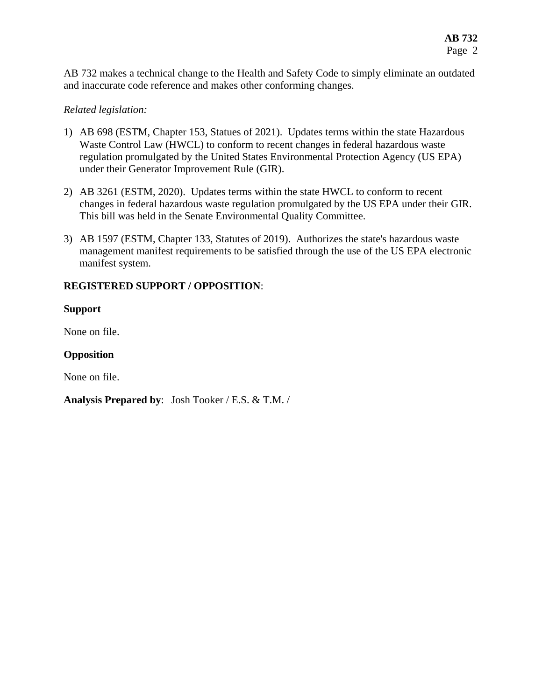AB 732 makes a technical change to the Health and Safety Code to simply eliminate an outdated and inaccurate code reference and makes other conforming changes.

### *Related legislation:*

- 1) AB 698 (ESTM, Chapter 153, Statues of 2021). Updates terms within the state Hazardous Waste Control Law (HWCL) to conform to recent changes in federal hazardous waste regulation promulgated by the United States Environmental Protection Agency (US EPA) under their Generator Improvement Rule (GIR).
- 2) AB 3261 (ESTM, 2020). Updates terms within the state HWCL to conform to recent changes in federal hazardous waste regulation promulgated by the US EPA under their GIR. This bill was held in the Senate Environmental Quality Committee.
- 3) AB 1597 (ESTM, Chapter 133, Statutes of 2019). Authorizes the state's hazardous waste management manifest requirements to be satisfied through the use of the US EPA electronic manifest system.

## **REGISTERED SUPPORT / OPPOSITION**:

### **Support**

None on file.

## **Opposition**

None on file.

### **Analysis Prepared by**: Josh Tooker / E.S. & T.M. /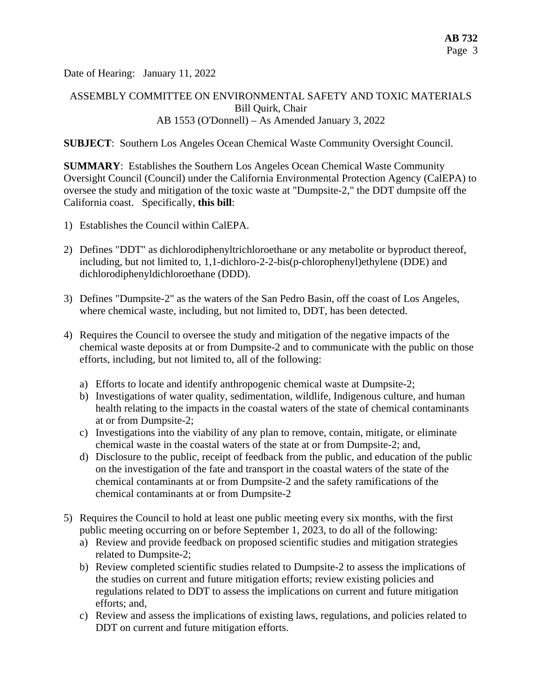Date of Hearing: January 11, 2022

## ASSEMBLY COMMITTEE ON ENVIRONMENTAL SAFETY AND TOXIC MATERIALS Bill Quirk, Chair AB 1553 (O'Donnell) – As Amended January 3, 2022

#### **SUBJECT**: Southern Los Angeles Ocean Chemical Waste Community Oversight Council.

**SUMMARY**: Establishes the Southern Los Angeles Ocean Chemical Waste Community Oversight Council (Council) under the California Environmental Protection Agency (CalEPA) to oversee the study and mitigation of the toxic waste at "Dumpsite-2," the DDT dumpsite off the California coast. Specifically, **this bill**:

- 1) Establishes the Council within CalEPA.
- 2) Defines "DDT" as dichlorodiphenyltrichloroethane or any metabolite or byproduct thereof, including, but not limited to, 1,1-dichloro-2-2-bis(p-chlorophenyl)ethylene (DDE) and dichlorodiphenyldichloroethane (DDD).
- 3) Defines "Dumpsite-2" as the waters of the San Pedro Basin, off the coast of Los Angeles, where chemical waste, including, but not limited to, DDT, has been detected.
- 4) Requires the Council to oversee the study and mitigation of the negative impacts of the chemical waste deposits at or from Dumpsite-2 and to communicate with the public on those efforts, including, but not limited to, all of the following:
	- a) Efforts to locate and identify anthropogenic chemical waste at Dumpsite-2;
	- b) Investigations of water quality, sedimentation, wildlife, Indigenous culture, and human health relating to the impacts in the coastal waters of the state of chemical contaminants at or from Dumpsite-2;
	- c) Investigations into the viability of any plan to remove, contain, mitigate, or eliminate chemical waste in the coastal waters of the state at or from Dumpsite-2; and,
	- d) Disclosure to the public, receipt of feedback from the public, and education of the public on the investigation of the fate and transport in the coastal waters of the state of the chemical contaminants at or from Dumpsite-2 and the safety ramifications of the chemical contaminants at or from Dumpsite-2
- 5) Requires the Council to hold at least one public meeting every six months, with the first public meeting occurring on or before September 1, 2023, to do all of the following:
	- a) Review and provide feedback on proposed scientific studies and mitigation strategies related to Dumpsite-2;
	- b) Review completed scientific studies related to Dumpsite-2 to assess the implications of the studies on current and future mitigation efforts; review existing policies and regulations related to DDT to assess the implications on current and future mitigation efforts; and,
	- c) Review and assess the implications of existing laws, regulations, and policies related to DDT on current and future mitigation efforts.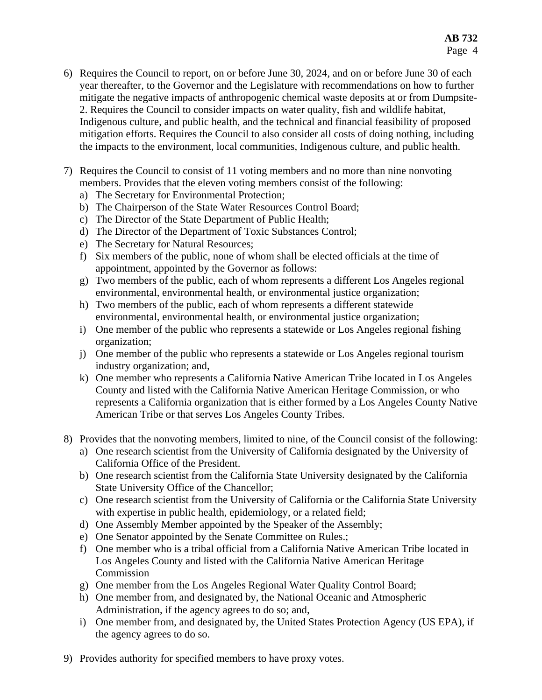- 6) Requires the Council to report, on or before June 30, 2024, and on or before June 30 of each year thereafter, to the Governor and the Legislature with recommendations on how to further mitigate the negative impacts of anthropogenic chemical waste deposits at or from Dumpsite-2. Requires the Council to consider impacts on water quality, fish and wildlife habitat, Indigenous culture, and public health, and the technical and financial feasibility of proposed mitigation efforts. Requires the Council to also consider all costs of doing nothing, including the impacts to the environment, local communities, Indigenous culture, and public health.
- 7) Requires the Council to consist of 11 voting members and no more than nine nonvoting members. Provides that the eleven voting members consist of the following:
	- a) The Secretary for Environmental Protection;
	- b) The Chairperson of the State Water Resources Control Board;
	- c) The Director of the State Department of Public Health;
	- d) The Director of the Department of Toxic Substances Control;
	- e) The Secretary for Natural Resources;
	- f) Six members of the public, none of whom shall be elected officials at the time of appointment, appointed by the Governor as follows:
	- g) Two members of the public, each of whom represents a different Los Angeles regional environmental, environmental health, or environmental justice organization;
	- h) Two members of the public, each of whom represents a different statewide environmental, environmental health, or environmental justice organization;
	- i) One member of the public who represents a statewide or Los Angeles regional fishing organization;
	- j) One member of the public who represents a statewide or Los Angeles regional tourism industry organization; and,
	- k) One member who represents a California Native American Tribe located in Los Angeles County and listed with the California Native American Heritage Commission, or who represents a California organization that is either formed by a Los Angeles County Native American Tribe or that serves Los Angeles County Tribes.
- 8) Provides that the nonvoting members, limited to nine, of the Council consist of the following:
	- a) One research scientist from the University of California designated by the University of California Office of the President.
	- b) One research scientist from the California State University designated by the California State University Office of the Chancellor;
	- c) One research scientist from the University of California or the California State University with expertise in public health, epidemiology, or a related field;
	- d) One Assembly Member appointed by the Speaker of the Assembly;
	- e) One Senator appointed by the Senate Committee on Rules.;
	- f) One member who is a tribal official from a California Native American Tribe located in Los Angeles County and listed with the California Native American Heritage Commission
	- g) One member from the Los Angeles Regional Water Quality Control Board;
	- h) One member from, and designated by, the National Oceanic and Atmospheric Administration, if the agency agrees to do so; and,
	- i) One member from, and designated by, the United States Protection Agency (US EPA), if the agency agrees to do so.
- 9) Provides authority for specified members to have proxy votes.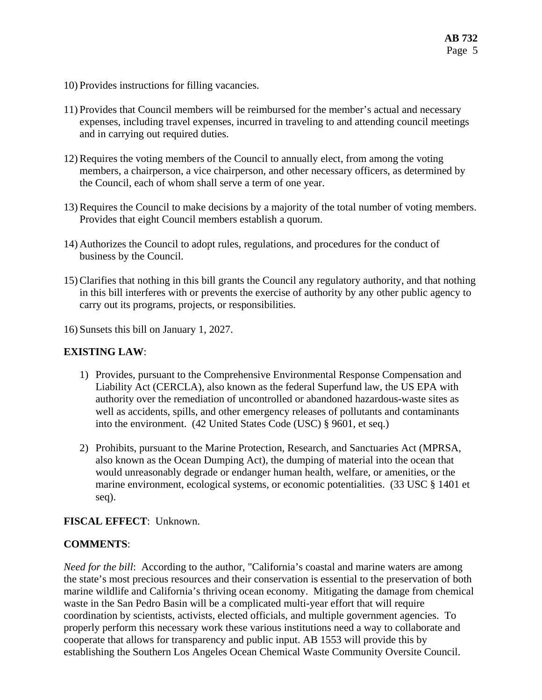- 10) Provides instructions for filling vacancies.
- 11) Provides that Council members will be reimbursed for the member's actual and necessary expenses, including travel expenses, incurred in traveling to and attending council meetings and in carrying out required duties.
- 12) Requires the voting members of the Council to annually elect, from among the voting members, a chairperson, a vice chairperson, and other necessary officers, as determined by the Council, each of whom shall serve a term of one year.
- 13) Requires the Council to make decisions by a majority of the total number of voting members. Provides that eight Council members establish a quorum.
- 14) Authorizes the Council to adopt rules, regulations, and procedures for the conduct of business by the Council.
- 15) Clarifies that nothing in this bill grants the Council any regulatory authority, and that nothing in this bill interferes with or prevents the exercise of authority by any other public agency to carry out its programs, projects, or responsibilities.
- 16) Sunsets this bill on January 1, 2027.

### **EXISTING LAW**:

- 1) Provides, pursuant to the Comprehensive Environmental Response Compensation and Liability Act (CERCLA), also known as the federal Superfund law, the US EPA with authority over the remediation of uncontrolled or abandoned hazardous-waste sites as well as accidents, spills, and other emergency releases of pollutants and contaminants into the environment. (42 United States Code (USC) § 9601, et seq.)
- 2) Prohibits, pursuant to the Marine Protection, Research, and Sanctuaries Act (MPRSA, also known as the Ocean Dumping Act), the dumping of material into the ocean that would unreasonably degrade or endanger human health, welfare, or amenities, or the marine environment, ecological systems, or economic potentialities. (33 USC § 1401 et seq).

### **FISCAL EFFECT**: Unknown.

# **COMMENTS**:

*Need for the bill*: According to the author, "California's coastal and marine waters are among the state's most precious resources and their conservation is essential to the preservation of both marine wildlife and California's thriving ocean economy. Mitigating the damage from chemical waste in the San Pedro Basin will be a complicated multi-year effort that will require coordination by scientists, activists, elected officials, and multiple government agencies. To properly perform this necessary work these various institutions need a way to collaborate and cooperate that allows for transparency and public input. AB 1553 will provide this by establishing the Southern Los Angeles Ocean Chemical Waste Community Oversite Council.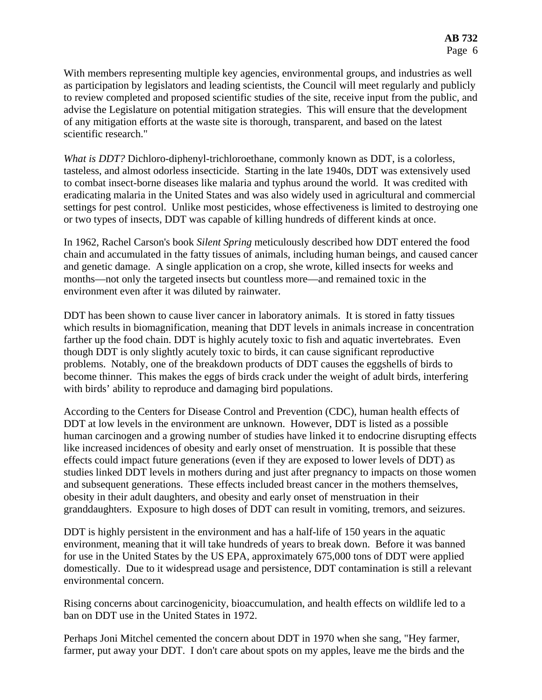With members representing multiple key agencies, environmental groups, and industries as well as participation by legislators and leading scientists, the Council will meet regularly and publicly to review completed and proposed scientific studies of the site, receive input from the public, and advise the Legislature on potential mitigation strategies. This will ensure that the development of any mitigation efforts at the waste site is thorough, transparent, and based on the latest scientific research."

*What is DDT?* Dichloro-diphenyl-trichloroethane, commonly known as DDT, is a colorless, tasteless, and almost odorless insecticide. Starting in the late 1940s, DDT was extensively used to combat insect-borne diseases like malaria and typhus around the world. It was credited with eradicating malaria in the United States and was also widely used in agricultural and commercial settings for pest control. Unlike most pesticides, whose effectiveness is limited to destroying one or two types of insects, DDT was capable of killing hundreds of different kinds at once.

In 1962, Rachel Carson's book *Silent Spring* meticulously described how DDT entered the food chain and accumulated in the fatty tissues of animals, including human beings, and caused cancer and genetic damage. A single application on a crop, she wrote, killed insects for weeks and months—not only the targeted insects but countless more—and remained toxic in the environment even after it was diluted by rainwater.

DDT has been shown to cause liver cancer in laboratory animals. It is stored in fatty tissues which results in biomagnification, meaning that DDT levels in animals increase in concentration farther up the food chain. DDT is highly acutely toxic to fish and aquatic invertebrates. Even though DDT is only slightly acutely toxic to birds, it can cause significant reproductive problems. Notably, one of the breakdown products of DDT causes the eggshells of birds to become thinner. This makes the eggs of birds crack under the weight of adult birds, interfering with birds' ability to reproduce and damaging bird populations.

According to the Centers for Disease Control and Prevention (CDC), human health effects of DDT at low levels in the environment are unknown. However, DDT is listed as a possible human carcinogen and a growing number of studies have linked it to endocrine disrupting effects like increased incidences of obesity and early onset of menstruation. It is possible that these effects could impact future generations (even if they are exposed to lower levels of DDT) as studies linked DDT levels in mothers during and just after pregnancy to impacts on those women and subsequent generations. These effects included breast cancer in the mothers themselves, obesity in their adult daughters, and obesity and early onset of menstruation in their granddaughters. Exposure to high doses of DDT can result in vomiting, tremors, and seizures.

DDT is highly persistent in the environment and has a half-life of 150 years in the aquatic environment, meaning that it will take hundreds of years to break down. Before it was banned for use in the United States by the US EPA, approximately 675,000 tons of DDT were applied domestically. Due to it widespread usage and persistence, DDT contamination is still a relevant environmental concern.

Rising concerns about carcinogenicity, bioaccumulation, and health effects on wildlife led to a ban on DDT use in the United States in 1972.

Perhaps Joni Mitchel cemented the concern about DDT in 1970 when she sang, "Hey farmer, farmer, put away your DDT. I don't care about spots on my apples, leave me the birds and the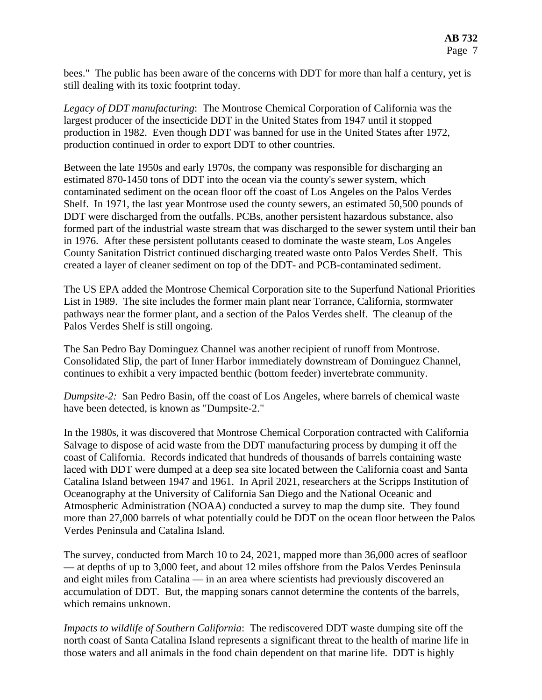bees." The public has been aware of the concerns with DDT for more than half a century, yet is still dealing with its toxic footprint today.

*Legacy of DDT manufacturing*: The Montrose Chemical Corporation of California was the largest producer of the insecticide DDT in the United States from 1947 until it stopped production in 1982. Even though DDT was banned for use in the United States after 1972, production continued in order to export DDT to other countries.

Between the late 1950s and early 1970s, the company was responsible for discharging an estimated 870-1450 tons of DDT into the ocean via the county's sewer system, which contaminated sediment on the ocean floor off the coast of Los Angeles on the Palos Verdes Shelf. In 1971, the last year Montrose used the county sewers, an estimated 50,500 pounds of DDT were discharged from the outfalls. PCBs, another persistent hazardous substance, also formed part of the industrial waste stream that was discharged to the sewer system until their ban in 1976. After these persistent pollutants ceased to dominate the waste steam, Los Angeles County Sanitation District continued discharging treated waste onto Palos Verdes Shelf. This created a layer of cleaner sediment on top of the DDT- and PCB-contaminated sediment.

The US EPA added the Montrose Chemical Corporation site to the Superfund National Priorities List in 1989. The site includes the former main plant near Torrance, California, stormwater pathways near the former plant, and a section of the Palos Verdes shelf. The cleanup of the Palos Verdes Shelf is still ongoing.

The San Pedro Bay Dominguez Channel was another recipient of runoff from Montrose. Consolidated Slip, the part of Inner Harbor immediately downstream of Dominguez Channel, continues to exhibit a very impacted benthic (bottom feeder) invertebrate community.

*Dumpsite-2:* San Pedro Basin, off the coast of Los Angeles, where barrels of chemical waste have been detected, is known as "Dumpsite-2."

In the 1980s, it was discovered that Montrose Chemical Corporation contracted with California Salvage to dispose of acid waste from the DDT manufacturing process by dumping it off the coast of California. Records indicated that hundreds of thousands of barrels containing waste laced with DDT were dumped at a deep sea site located between the California coast and Santa Catalina Island between 1947 and 1961. In April 2021, researchers at the Scripps Institution of Oceanography at the University of California San Diego and the National Oceanic and Atmospheric Administration (NOAA) conducted a survey to map the dump site. They found more than 27,000 barrels of what potentially could be DDT on the ocean floor between the Palos Verdes Peninsula and Catalina Island.

The survey, conducted from March 10 to 24, 2021, mapped more than 36,000 acres of seafloor — at depths of up to 3,000 feet, and about 12 miles offshore from the Palos Verdes Peninsula and eight miles from Catalina — in an area where scientists had previously discovered an accumulation of DDT. But, the mapping sonars cannot determine the contents of the barrels, which remains unknown.

*Impacts to wildlife of Southern California*: The rediscovered DDT waste dumping site off the north coast of Santa Catalina Island represents a significant threat to the health of marine life in those waters and all animals in the food chain dependent on that marine life. DDT is highly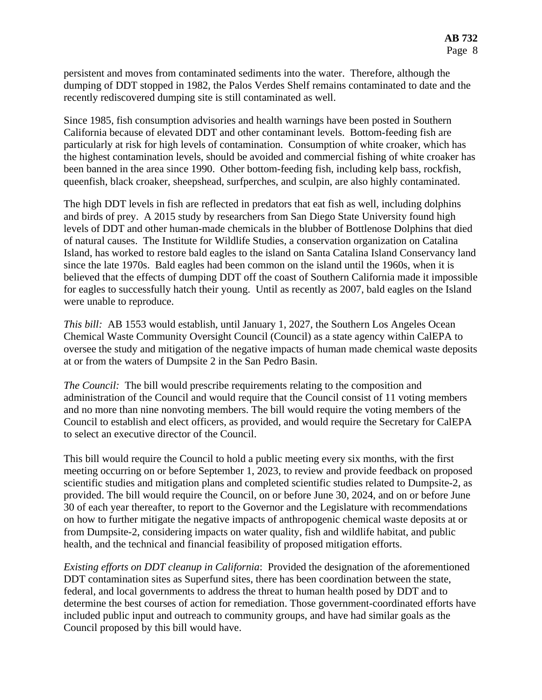persistent and moves from contaminated sediments into the water. Therefore, although the dumping of DDT stopped in 1982, the Palos Verdes Shelf remains contaminated to date and the recently rediscovered dumping site is still contaminated as well.

Since 1985, fish consumption advisories and health warnings have been posted in Southern California because of elevated DDT and other contaminant levels. Bottom-feeding fish are particularly at risk for high levels of contamination. Consumption of white croaker, which has the highest contamination levels, should be avoided and commercial fishing of white croaker has been banned in the area since 1990. Other bottom-feeding fish, including kelp bass, rockfish, queenfish, black croaker, sheepshead, surfperches, and sculpin, are also highly contaminated.

The high DDT levels in fish are reflected in predators that eat fish as well, including dolphins and birds of prey. A 2015 study by researchers from San Diego State University found high levels of DDT and other human-made chemicals in the blubber of Bottlenose Dolphins that died of natural causes. The Institute for Wildlife Studies, a conservation organization on Catalina Island, has worked to restore bald eagles to the island on Santa Catalina Island Conservancy land since the late 1970s. Bald eagles had been common on the island until the 1960s, when it is believed that the effects of dumping DDT off the coast of Southern California made it impossible for eagles to successfully hatch their young. Until as recently as 2007, bald eagles on the Island were unable to reproduce.

*This bill:* AB 1553 would establish, until January 1, 2027, the Southern Los Angeles Ocean Chemical Waste Community Oversight Council (Council) as a state agency within CalEPA to oversee the study and mitigation of the negative impacts of human made chemical waste deposits at or from the waters of Dumpsite 2 in the San Pedro Basin.

*The Council:* The bill would prescribe requirements relating to the composition and administration of the Council and would require that the Council consist of 11 voting members and no more than nine nonvoting members. The bill would require the voting members of the Council to establish and elect officers, as provided, and would require the Secretary for CalEPA to select an executive director of the Council.

This bill would require the Council to hold a public meeting every six months, with the first meeting occurring on or before September 1, 2023, to review and provide feedback on proposed scientific studies and mitigation plans and completed scientific studies related to Dumpsite-2, as provided. The bill would require the Council, on or before June 30, 2024, and on or before June 30 of each year thereafter, to report to the Governor and the Legislature with recommendations on how to further mitigate the negative impacts of anthropogenic chemical waste deposits at or from Dumpsite-2, considering impacts on water quality, fish and wildlife habitat, and public health, and the technical and financial feasibility of proposed mitigation efforts.

*Existing efforts on DDT cleanup in California*: Provided the designation of the aforementioned DDT contamination sites as Superfund sites, there has been coordination between the state, federal, and local governments to address the threat to human health posed by DDT and to determine the best courses of action for remediation. Those government-coordinated efforts have included public input and outreach to community groups, and have had similar goals as the Council proposed by this bill would have.